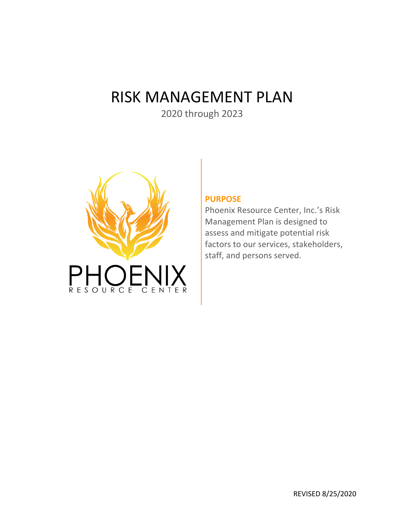# RISK MANAGEMENT PLAN

2020 through 2023



# **PURPOSE**

Phoenix Resource Center, Inc.'s Risk Management Plan is designed to assess and mitigate potential risk factors to our services, stakeholders, staff, and persons served.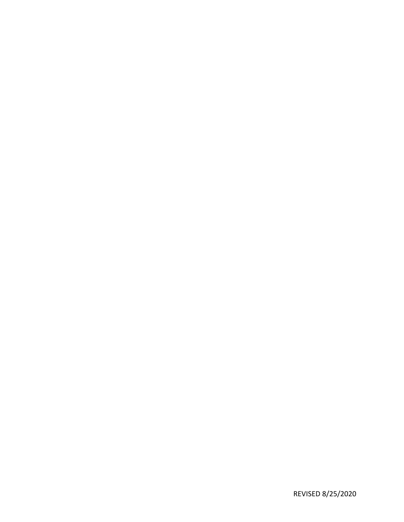REVISED 8/25/2020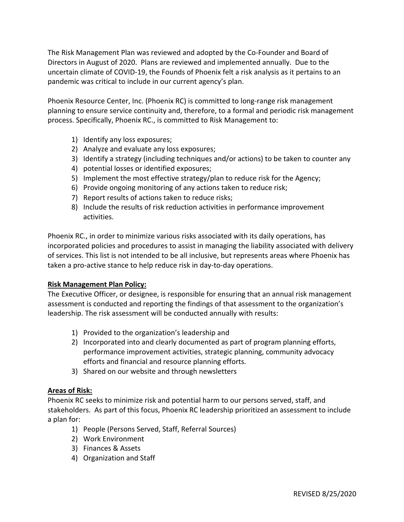The Risk Management Plan was reviewed and adopted by the Co-Founder and Board of Directors in August of 2020. Plans are reviewed and implemented annually. Due to the uncertain climate of COVID-19, the Founds of Phoenix felt a risk analysis as it pertains to an pandemic was critical to include in our current agency's plan.

Phoenix Resource Center, Inc. (Phoenix RC) is committed to long-range risk management planning to ensure service continuity and, therefore, to a formal and periodic risk management process. Specifically, Phoenix RC., is committed to Risk Management to:

- 1) Identify any loss exposures;
- 2) Analyze and evaluate any loss exposures;
- 3) Identify a strategy (including techniques and/or actions) to be taken to counter any
- 4) potential losses or identified exposures;
- 5) Implement the most effective strategy/plan to reduce risk for the Agency;
- 6) Provide ongoing monitoring of any actions taken to reduce risk;
- 7) Report results of actions taken to reduce risks;
- 8) Include the results of risk reduction activities in performance improvement activities.

Phoenix RC., in order to minimize various risks associated with its daily operations, has incorporated policies and procedures to assist in managing the liability associated with delivery of services. This list is not intended to be all inclusive, but represents areas where Phoenix has taken a pro-active stance to help reduce risk in day-to-day operations.

## **Risk Management Plan Policy:**

The Executive Officer, or designee, is responsible for ensuring that an annual risk management assessment is conducted and reporting the findings of that assessment to the organization's leadership. The risk assessment will be conducted annually with results:

- 1) Provided to the organization's leadership and
- 2) Incorporated into and clearly documented as part of program planning efforts, performance improvement activities, strategic planning, community advocacy efforts and financial and resource planning efforts.
- 3) Shared on our website and through newsletters

## **Areas of Risk:**

Phoenix RC seeks to minimize risk and potential harm to our persons served, staff, and stakeholders. As part of this focus, Phoenix RC leadership prioritized an assessment to include a plan for:

- 1) People (Persons Served, Staff, Referral Sources)
- 2) Work Environment
- 3) Finances & Assets
- 4) Organization and Staff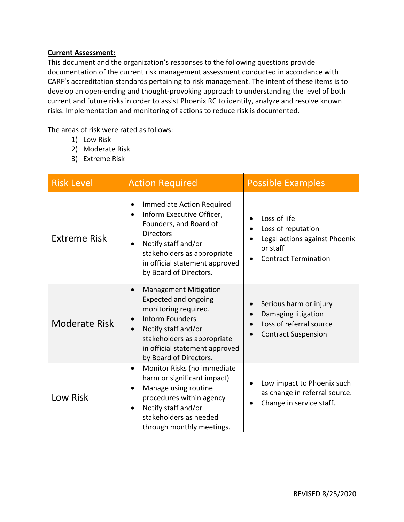## **Current Assessment:**

This document and the organization's responses to the following questions provide documentation of the current risk management assessment conducted in accordance with CARF's accreditation standards pertaining to risk management. The intent of these items is to develop an open-ending and thought-provoking approach to understanding the level of both current and future risks in order to assist Phoenix RC to identify, analyze and resolve known risks. Implementation and monitoring of actions to reduce risk is documented.

The areas of risk were rated as follows:

- 1) Low Risk
- 2) Moderate Risk
- 3) Extreme Risk

| <b>Risk Level</b>    | <b>Action Required</b>                                                                                                                                                                                                                                    | <b>Possible Examples</b>                                                                                       |
|----------------------|-----------------------------------------------------------------------------------------------------------------------------------------------------------------------------------------------------------------------------------------------------------|----------------------------------------------------------------------------------------------------------------|
| <b>Extreme Risk</b>  | Immediate Action Required<br>Inform Executive Officer,<br>Founders, and Board of<br><b>Directors</b><br>Notify staff and/or<br>stakeholders as appropriate<br>in official statement approved<br>by Board of Directors.                                    | Loss of life<br>Loss of reputation<br>Legal actions against Phoenix<br>or staff<br><b>Contract Termination</b> |
| <b>Moderate Risk</b> | <b>Management Mitigation</b><br>$\bullet$<br><b>Expected and ongoing</b><br>monitoring required.<br><b>Inform Founders</b><br>$\bullet$<br>Notify staff and/or<br>stakeholders as appropriate<br>in official statement approved<br>by Board of Directors. | Serious harm or injury<br>Damaging litigation<br>Loss of referral source<br><b>Contract Suspension</b>         |
| Low Risk             | Monitor Risks (no immediate<br>$\bullet$<br>harm or significant impact)<br>Manage using routine<br>procedures within agency<br>Notify staff and/or<br>$\bullet$<br>stakeholders as needed<br>through monthly meetings.                                    | Low impact to Phoenix such<br>as change in referral source.<br>Change in service staff.                        |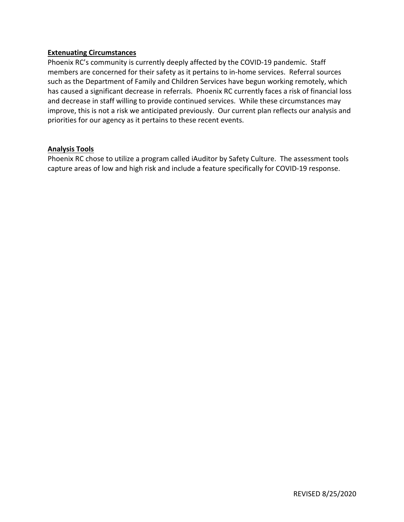## **Extenuating Circumstances**

Phoenix RC's community is currently deeply affected by the COVID-19 pandemic. Staff members are concerned for their safety as it pertains to in-home services. Referral sources such as the Department of Family and Children Services have begun working remotely, which has caused a significant decrease in referrals. Phoenix RC currently faces a risk of financial loss and decrease in staff willing to provide continued services. While these circumstances may improve, this is not a risk we anticipated previously. Our current plan reflects our analysis and priorities for our agency as it pertains to these recent events.

## **Analysis Tools**

Phoenix RC chose to utilize a program called iAuditor by Safety Culture. The assessment tools capture areas of low and high risk and include a feature specifically for COVID-19 response.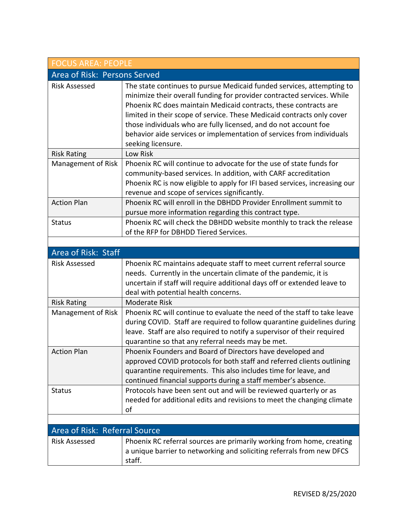| <b>FOCUS AREA: PEOPLE</b>     |                                                                                                                                                                                                                                                                                                                                                                                                                                                                  |
|-------------------------------|------------------------------------------------------------------------------------------------------------------------------------------------------------------------------------------------------------------------------------------------------------------------------------------------------------------------------------------------------------------------------------------------------------------------------------------------------------------|
| Area of Risk: Persons Served  |                                                                                                                                                                                                                                                                                                                                                                                                                                                                  |
| <b>Risk Assessed</b>          | The state continues to pursue Medicaid funded services, attempting to<br>minimize their overall funding for provider contracted services. While<br>Phoenix RC does maintain Medicaid contracts, these contracts are<br>limited in their scope of service. These Medicaid contracts only cover<br>those individuals who are fully licensed, and do not account foe<br>behavior aide services or implementation of services from individuals<br>seeking licensure. |
| <b>Risk Rating</b>            | Low Risk                                                                                                                                                                                                                                                                                                                                                                                                                                                         |
| Management of Risk            | Phoenix RC will continue to advocate for the use of state funds for<br>community-based services. In addition, with CARF accreditation<br>Phoenix RC is now eligible to apply for IFI based services, increasing our<br>revenue and scope of services significantly.                                                                                                                                                                                              |
| <b>Action Plan</b>            | Phoenix RC will enroll in the DBHDD Provider Enrollment summit to<br>pursue more information regarding this contract type.                                                                                                                                                                                                                                                                                                                                       |
| <b>Status</b>                 | Phoenix RC will check the DBHDD website monthly to track the release<br>of the RFP for DBHDD Tiered Services.                                                                                                                                                                                                                                                                                                                                                    |
|                               |                                                                                                                                                                                                                                                                                                                                                                                                                                                                  |
| Area of Risk: Staff           |                                                                                                                                                                                                                                                                                                                                                                                                                                                                  |
| <b>Risk Assessed</b>          | Phoenix RC maintains adequate staff to meet current referral source<br>needs. Currently in the uncertain climate of the pandemic, it is<br>uncertain if staff will require additional days off or extended leave to<br>deal with potential health concerns.                                                                                                                                                                                                      |
| <b>Risk Rating</b>            | <b>Moderate Risk</b>                                                                                                                                                                                                                                                                                                                                                                                                                                             |
| Management of Risk            | Phoenix RC will continue to evaluate the need of the staff to take leave<br>during COVID. Staff are required to follow quarantine guidelines during<br>leave. Staff are also required to notify a supervisor of their required<br>quarantine so that any referral needs may be met.                                                                                                                                                                              |
| <b>Action Plan</b>            | Phoenix Founders and Board of Directors have developed and<br>approved COVID protocols for both staff and referred clients outlining<br>quarantine requirements. This also includes time for leave, and<br>continued financial supports during a staff member's absence.                                                                                                                                                                                         |
| <b>Status</b>                 | Protocols have been sent out and will be reviewed quarterly or as<br>needed for additional edits and revisions to meet the changing climate<br>of                                                                                                                                                                                                                                                                                                                |
|                               |                                                                                                                                                                                                                                                                                                                                                                                                                                                                  |
| Area of Risk: Referral Source |                                                                                                                                                                                                                                                                                                                                                                                                                                                                  |
| <b>Risk Assessed</b>          | Phoenix RC referral sources are primarily working from home, creating<br>a unique barrier to networking and soliciting referrals from new DFCS<br>staff.                                                                                                                                                                                                                                                                                                         |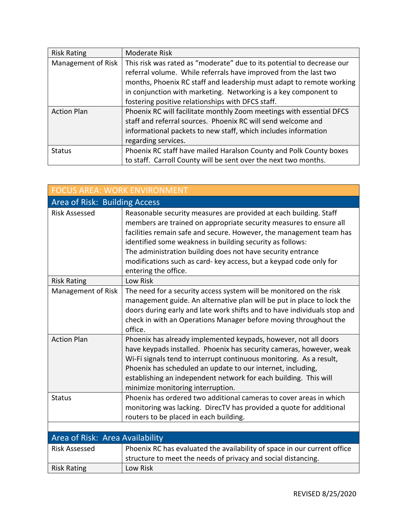| <b>Risk Rating</b> | Moderate Risk                                                          |
|--------------------|------------------------------------------------------------------------|
| Management of Risk | This risk was rated as "moderate" due to its potential to decrease our |
|                    | referral volume. While referrals have improved from the last two       |
|                    | months, Phoenix RC staff and leadership must adapt to remote working   |
|                    | in conjunction with marketing. Networking is a key component to        |
|                    | fostering positive relationships with DFCS staff.                      |
| <b>Action Plan</b> | Phoenix RC will facilitate monthly Zoom meetings with essential DFCS   |
|                    | staff and referral sources. Phoenix RC will send welcome and           |
|                    | informational packets to new staff, which includes information         |
|                    | regarding services.                                                    |
| <b>Status</b>      | Phoenix RC staff have mailed Haralson County and Polk County boxes     |
|                    | to staff. Carroll County will be sent over the next two months.        |

| <b>FOCUS AREA: WORK ENVIRONMENT</b>  |                                                                                                                                                                                                                                                                                                                                                                                                                                          |
|--------------------------------------|------------------------------------------------------------------------------------------------------------------------------------------------------------------------------------------------------------------------------------------------------------------------------------------------------------------------------------------------------------------------------------------------------------------------------------------|
| <b>Area of Risk: Building Access</b> |                                                                                                                                                                                                                                                                                                                                                                                                                                          |
| <b>Risk Assessed</b>                 | Reasonable security measures are provided at each building. Staff<br>members are trained on appropriate security measures to ensure all<br>facilities remain safe and secure. However, the management team has<br>identified some weakness in building security as follows:<br>The administration building does not have security entrance<br>modifications such as card- key access, but a keypad code only for<br>entering the office. |
| <b>Risk Rating</b>                   | Low Risk                                                                                                                                                                                                                                                                                                                                                                                                                                 |
| Management of Risk                   | The need for a security access system will be monitored on the risk<br>management guide. An alternative plan will be put in place to lock the<br>doors during early and late work shifts and to have individuals stop and<br>check in with an Operations Manager before moving throughout the<br>office.                                                                                                                                 |
| <b>Action Plan</b>                   | Phoenix has already implemented keypads, however, not all doors<br>have keypads installed. Phoenix has security cameras, however, weak<br>Wi-Fi signals tend to interrupt continuous monitoring. As a result,<br>Phoenix has scheduled an update to our internet, including,<br>establishing an independent network for each building. This will<br>minimize monitoring interruption.                                                    |
| <b>Status</b>                        | Phoenix has ordered two additional cameras to cover areas in which<br>monitoring was lacking. DirecTV has provided a quote for additional<br>routers to be placed in each building.                                                                                                                                                                                                                                                      |
|                                      |                                                                                                                                                                                                                                                                                                                                                                                                                                          |
| Area of Risk: Area Availability      |                                                                                                                                                                                                                                                                                                                                                                                                                                          |
| <b>Risk Assessed</b>                 | Phoenix RC has evaluated the availability of space in our current office<br>structure to meet the needs of privacy and social distancing.                                                                                                                                                                                                                                                                                                |
| <b>Risk Rating</b>                   | Low Risk                                                                                                                                                                                                                                                                                                                                                                                                                                 |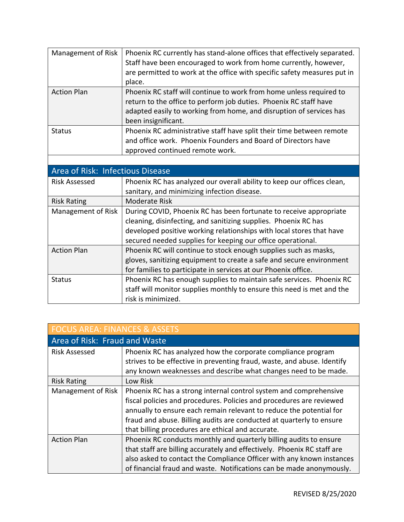| Management of Risk               | Phoenix RC currently has stand-alone offices that effectively separated.<br>Staff have been encouraged to work from home currently, however,<br>are permitted to work at the office with specific safety measures put in<br>place.                                           |
|----------------------------------|------------------------------------------------------------------------------------------------------------------------------------------------------------------------------------------------------------------------------------------------------------------------------|
| <b>Action Plan</b>               | Phoenix RC staff will continue to work from home unless required to<br>return to the office to perform job duties. Phoenix RC staff have<br>adapted easily to working from home, and disruption of services has<br>been insignificant.                                       |
| <b>Status</b>                    | Phoenix RC administrative staff have split their time between remote<br>and office work. Phoenix Founders and Board of Directors have<br>approved continued remote work.                                                                                                     |
|                                  |                                                                                                                                                                                                                                                                              |
| Area of Risk: Infectious Disease |                                                                                                                                                                                                                                                                              |
| <b>Risk Assessed</b>             | Phoenix RC has analyzed our overall ability to keep our offices clean,<br>sanitary, and minimizing infection disease.                                                                                                                                                        |
| <b>Risk Rating</b>               | Moderate Risk                                                                                                                                                                                                                                                                |
| Management of Risk               | During COVID, Phoenix RC has been fortunate to receive appropriate<br>cleaning, disinfecting, and sanitizing supplies. Phoenix RC has<br>developed positive working relationships with local stores that have<br>secured needed supplies for keeping our office operational. |
| <b>Action Plan</b>               | Phoenix RC will continue to stock enough supplies such as masks,<br>gloves, sanitizing equipment to create a safe and secure environment<br>for families to participate in services at our Phoenix office.                                                                   |
| <b>Status</b>                    | Phoenix RC has enough supplies to maintain safe services. Phoenix RC<br>staff will monitor supplies monthly to ensure this need is met and the<br>risk is minimized.                                                                                                         |

| <b>FOCUS AREA: FINANCES &amp; ASSETS</b> |                                                                                                                                                                                                                                                                                                                                               |
|------------------------------------------|-----------------------------------------------------------------------------------------------------------------------------------------------------------------------------------------------------------------------------------------------------------------------------------------------------------------------------------------------|
| Area of Risk: Fraud and Waste            |                                                                                                                                                                                                                                                                                                                                               |
| <b>Risk Assessed</b>                     | Phoenix RC has analyzed how the corporate compliance program<br>strives to be effective in preventing fraud, waste, and abuse. Identify<br>any known weaknesses and describe what changes need to be made.                                                                                                                                    |
| <b>Risk Rating</b>                       | Low Risk                                                                                                                                                                                                                                                                                                                                      |
| Management of Risk                       | Phoenix RC has a strong internal control system and comprehensive<br>fiscal policies and procedures. Policies and procedures are reviewed<br>annually to ensure each remain relevant to reduce the potential for<br>fraud and abuse. Billing audits are conducted at quarterly to ensure<br>that billing procedures are ethical and accurate. |
| <b>Action Plan</b>                       | Phoenix RC conducts monthly and quarterly billing audits to ensure<br>that staff are billing accurately and effectively. Phoenix RC staff are<br>also asked to contact the Compliance Officer with any known instances<br>of financial fraud and waste. Notifications can be made anonymously.                                                |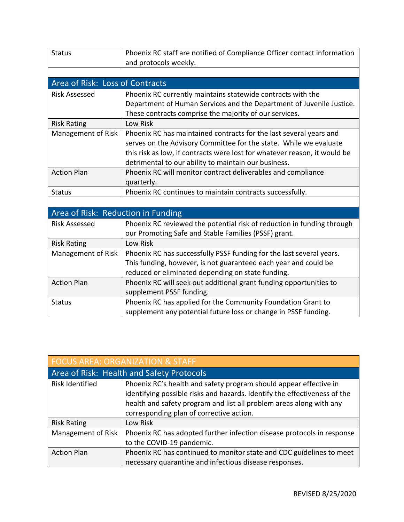| <b>Status</b>                      | Phoenix RC staff are notified of Compliance Officer contact information<br>and protocols weekly. |
|------------------------------------|--------------------------------------------------------------------------------------------------|
|                                    |                                                                                                  |
| Area of Risk: Loss of Contracts    |                                                                                                  |
| <b>Risk Assessed</b>               | Phoenix RC currently maintains statewide contracts with the                                      |
|                                    | Department of Human Services and the Department of Juvenile Justice.                             |
|                                    | These contracts comprise the majority of our services.                                           |
| <b>Risk Rating</b>                 | Low Risk                                                                                         |
| Management of Risk                 | Phoenix RC has maintained contracts for the last several years and                               |
|                                    | serves on the Advisory Committee for the state. While we evaluate                                |
|                                    | this risk as low, if contracts were lost for whatever reason, it would be                        |
|                                    | detrimental to our ability to maintain our business.                                             |
| <b>Action Plan</b>                 | Phoenix RC will monitor contract deliverables and compliance                                     |
|                                    | quarterly.                                                                                       |
| <b>Status</b>                      | Phoenix RC continues to maintain contracts successfully.                                         |
|                                    |                                                                                                  |
| Area of Risk: Reduction in Funding |                                                                                                  |
| <b>Risk Assessed</b>               | Phoenix RC reviewed the potential risk of reduction in funding through                           |
|                                    | our Promoting Safe and Stable Families (PSSF) grant.                                             |
| <b>Risk Rating</b>                 | Low Risk                                                                                         |
| <b>Management of Risk</b>          | Phoenix RC has successfully PSSF funding for the last several years.                             |
|                                    | This funding, however, is not guaranteed each year and could be                                  |
|                                    | reduced or eliminated depending on state funding.                                                |
| <b>Action Plan</b>                 | Phoenix RC will seek out additional grant funding opportunities to                               |
|                                    | supplement PSSF funding.                                                                         |
| <b>Status</b>                      | Phoenix RC has applied for the Community Foundation Grant to                                     |
|                                    | supplement any potential future loss or change in PSSF funding.                                  |

| <b>FOCUS AREA: ORGANIZATION &amp; STAFF</b> |                                                                                                                                                                                                                                                                   |
|---------------------------------------------|-------------------------------------------------------------------------------------------------------------------------------------------------------------------------------------------------------------------------------------------------------------------|
| Area of Risk: Health and Safety Protocols   |                                                                                                                                                                                                                                                                   |
| <b>Risk Identified</b>                      | Phoenix RC's health and safety program should appear effective in<br>identifying possible risks and hazards. Identify the effectiveness of the<br>health and safety program and list all problem areas along with any<br>corresponding plan of corrective action. |
| <b>Risk Rating</b>                          | Low Risk                                                                                                                                                                                                                                                          |
| Management of Risk                          | Phoenix RC has adopted further infection disease protocols in response<br>to the COVID-19 pandemic.                                                                                                                                                               |
| <b>Action Plan</b>                          | Phoenix RC has continued to monitor state and CDC guidelines to meet<br>necessary quarantine and infectious disease responses.                                                                                                                                    |